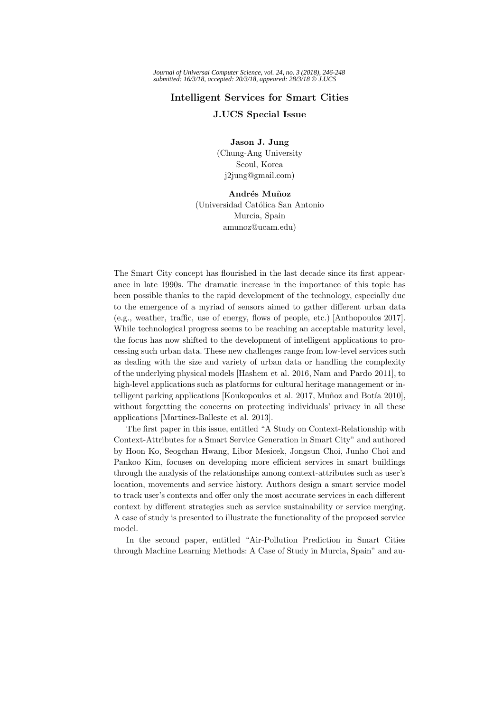## **Intelligent Services for Smart Cities J.UCS Special Issue**

**Jason J. Jung** (Chung-Ang University Seoul, Korea j2jung@gmail.com)

## **Andr´es Mu˜noz**

(Universidad Católica San Antonio) Murcia, Spain amunoz@ucam.edu)

The Smart City concept has flourished in the last decade since its first appearance in late 1990s. The dramatic increase in the importance of this topic has been possible thanks to the rapid development of the technology, especially due to the emergence of a myriad of sensors aimed to gather different urban data (e.g., weather, traffic, use of energy, flows of people, etc.) [Anthopoulos 2017]. While technological progress seems to be reaching an acceptable maturity level, the focus has now shifted to the development of intelligent applications to processing such urban data. These new challenges range from low-level services such as dealing with the size and variety of urban data or handling the complexity of the underlying physical models [Hashem et al. 2016, Nam and Pardo 2011], to high-level applications such as platforms for cultural heritage management or intelligent parking applications [Koukopoulos et al. 2017, Muñoz and Botía 2010], without forgetting the concerns on protecting individuals' privacy in all these applications [Martinez-Balleste et al. 2013].

The first paper in this issue, entitled "A Study on Context-Relationship with Context-Attributes for a Smart Service Generation in Smart City" and authored by Hoon Ko, Seogchan Hwang, Libor Mesicek, Jongsun Choi, Junho Choi and Pankoo Kim, focuses on developing more efficient services in smart buildings through the analysis of the relationships among context-attributes such as user's location, movements and service history. Authors design a smart service model to track user's contexts and offer only the most accurate services in each different context by different strategies such as service sustainability or service merging. A case of study is presented to illustrate the functionality of the proposed service model.

In the second paper, entitled "Air-Pollution Prediction in Smart Cities through Machine Learning Methods: A Case of Study in Murcia, Spain" and au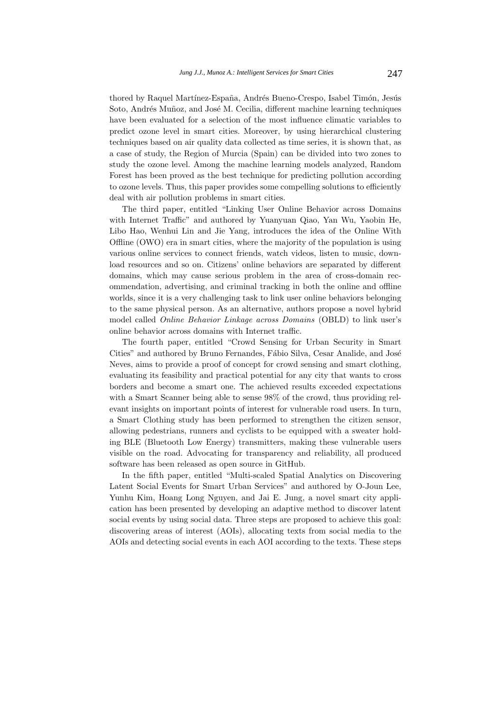thored by Raquel Martínez-España, Andrés Bueno-Crespo, Isabel Timón, Jesús Soto, Andrés Muñoz, and José M. Cecilia, different machine learning techniques have been evaluated for a selection of the most influence climatic variables to predict ozone level in smart cities. Moreover, by using hierarchical clustering techniques based on air quality data collected as time series, it is shown that, as a case of study, the Region of Murcia (Spain) can be divided into two zones to study the ozone level. Among the machine learning models analyzed, Random Forest has been proved as the best technique for predicting pollution according to ozone levels. Thus, this paper provides some compelling solutions to efficiently deal with air pollution problems in smart cities.

The third paper, entitled "Linking User Online Behavior across Domains with Internet Traffic" and authored by Yuanyuan Qiao, Yan Wu, Yaobin He, Libo Hao, Wenhui Lin and Jie Yang, introduces the idea of the Online With Offline (OWO) era in smart cities, where the majority of the population is using various online services to connect friends, watch videos, listen to music, download resources and so on. Citizens' online behaviors are separated by different domains, which may cause serious problem in the area of cross-domain recommendation, advertising, and criminal tracking in both the online and offline worlds, since it is a very challenging task to link user online behaviors belonging to the same physical person. As an alternative, authors propose a novel hybrid model called Online Behavior Linkage across Domains (OBLD) to link user's online behavior across domains with Internet traffic.

The fourth paper, entitled "Crowd Sensing for Urban Security in Smart Cities" and authored by Bruno Fernandes, Fábio Silva, Cesar Analide, and José Neves, aims to provide a proof of concept for crowd sensing and smart clothing, evaluating its feasibility and practical potential for any city that wants to cross borders and become a smart one. The achieved results exceeded expectations with a Smart Scanner being able to sense 98% of the crowd, thus providing relevant insights on important points of interest for vulnerable road users. In turn, a Smart Clothing study has been performed to strengthen the citizen sensor, allowing pedestrians, runners and cyclists to be equipped with a sweater holding BLE (Bluetooth Low Energy) transmitters, making these vulnerable users visible on the road. Advocating for transparency and reliability, all produced software has been released as open source in GitHub.

In the fifth paper, entitled "Multi-scaled Spatial Analytics on Discovering Latent Social Events for Smart Urban Services" and authored by O-Joun Lee, Yunhu Kim, Hoang Long Nguyen, and Jai E. Jung, a novel smart city application has been presented by developing an adaptive method to discover latent social events by using social data. Three steps are proposed to achieve this goal: discovering areas of interest (AOIs), allocating texts from social media to the AOIs and detecting social events in each AOI according to the texts. These steps